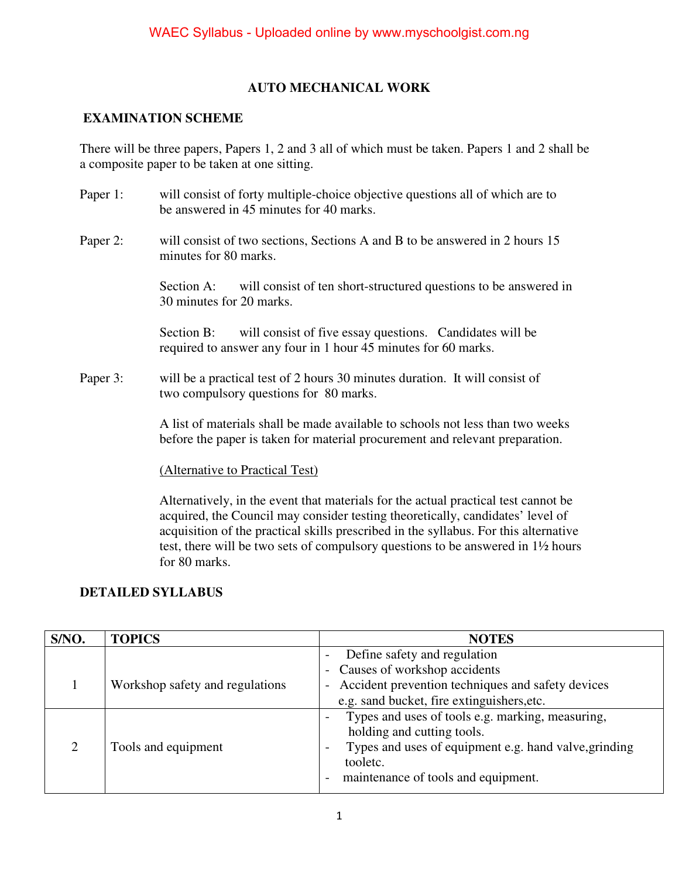### **AUTO MECHANICAL WORK**

#### **EXAMINATION SCHEME**

There will be three papers, Papers 1, 2 and 3 all of which must be taken. Papers 1 and 2 shall be a composite paper to be taken at one sitting.

- Paper 1: will consist of forty multiple-choice objective questions all of which are to be answered in 45 minutes for 40 marks.
- Paper 2: will consist of two sections, Sections A and B to be answered in 2 hours 15 minutes for 80 marks.

Section A: will consist of ten short-structured questions to be answered in 30 minutes for 20 marks.

Section B: will consist of five essay questions. Candidates will be required to answer any four in 1 hour 45 minutes for 60 marks.

Paper 3: will be a practical test of 2 hours 30 minutes duration. It will consist of two compulsory questions for 80 marks.

> A list of materials shall be made available to schools not less than two weeks before the paper is taken for material procurement and relevant preparation.

(Alternative to Practical Test)

 Alternatively, in the event that materials for the actual practical test cannot be acquired, the Council may consider testing theoretically, candidates' level of acquisition of the practical skills prescribed in the syllabus. For this alternative test, there will be two sets of compulsory questions to be answered in 1½ hours for 80 marks.

#### **DETAILED SYLLABUS**

| S/NO. | <b>TOPICS</b>                   | <b>NOTES</b>                                                                                                                                                                               |  |
|-------|---------------------------------|--------------------------------------------------------------------------------------------------------------------------------------------------------------------------------------------|--|
|       | Workshop safety and regulations | Define safety and regulation<br>- Causes of workshop accidents<br>Accident prevention techniques and safety devices                                                                        |  |
|       |                                 | e.g. sand bucket, fire extinguishers, etc.                                                                                                                                                 |  |
| ↑     | Tools and equipment             | Types and uses of tools e.g. marking, measuring,<br>holding and cutting tools.<br>Types and uses of equipment e.g. hand valve, grinding<br>tooletc.<br>maintenance of tools and equipment. |  |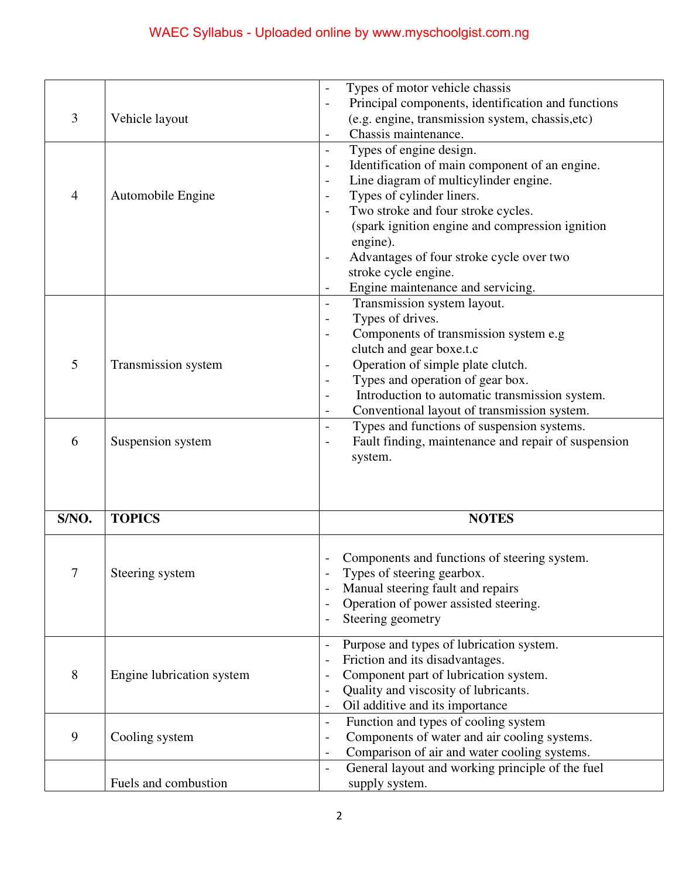|                |                           | Types of motor vehicle chassis                                             |
|----------------|---------------------------|----------------------------------------------------------------------------|
|                |                           | Principal components, identification and functions                         |
| 3              | Vehicle layout            | (e.g. engine, transmission system, chassis, etc)                           |
|                |                           | Chassis maintenance.                                                       |
|                |                           | Types of engine design.<br>$\overline{\phantom{0}}$                        |
|                |                           | Identification of main component of an engine.<br>$\overline{\phantom{0}}$ |
|                |                           | Line diagram of multicylinder engine.                                      |
| $\overline{4}$ | Automobile Engine         | Types of cylinder liners.<br>$\qquad \qquad -$                             |
|                |                           | Two stroke and four stroke cycles.                                         |
|                |                           | (spark ignition engine and compression ignition                            |
|                |                           | engine).                                                                   |
|                |                           | Advantages of four stroke cycle over two                                   |
|                |                           | stroke cycle engine.                                                       |
|                |                           |                                                                            |
|                |                           | Engine maintenance and servicing.                                          |
|                |                           | Transmission system layout.<br>$\overline{\phantom{a}}$                    |
|                |                           | Types of drives.                                                           |
|                |                           | Components of transmission system e.g                                      |
|                |                           | clutch and gear boxe.t.c                                                   |
| 5              | Transmission system       | Operation of simple plate clutch.                                          |
|                |                           | Types and operation of gear box.                                           |
|                |                           | Introduction to automatic transmission system.                             |
|                |                           | Conventional layout of transmission system.<br>$\overline{\phantom{a}}$    |
|                |                           | Types and functions of suspension systems.<br>$\overline{a}$               |
| 6              | Suspension system         | Fault finding, maintenance and repair of suspension                        |
|                |                           | system.                                                                    |
|                |                           |                                                                            |
|                |                           |                                                                            |
|                |                           |                                                                            |
| S/NO.          | <b>TOPICS</b>             | <b>NOTES</b>                                                               |
|                |                           |                                                                            |
|                |                           | Components and functions of steering system.                               |
| $\tau$         |                           |                                                                            |
|                | Steering system           | Types of steering gearbox.                                                 |
|                |                           | Manual steering fault and repairs                                          |
|                |                           | Operation of power assisted steering.<br>$\overline{\phantom{a}}$          |
|                |                           | Steering geometry                                                          |
|                |                           | Purpose and types of lubrication system.                                   |
|                |                           | Friction and its disadvantages.                                            |
| 8              | Engine lubrication system | Component part of lubrication system.                                      |
|                |                           | Quality and viscosity of lubricants.                                       |
|                |                           | Oil additive and its importance                                            |
|                |                           | Function and types of cooling system<br>$\qquad \qquad -$                  |
| 9              |                           |                                                                            |
|                | Cooling system            | Components of water and air cooling systems.<br>$\overline{\phantom{0}}$   |
|                |                           | Comparison of air and water cooling systems.                               |
|                |                           | General layout and working principle of the fuel<br>$\overline{a}$         |
|                | Fuels and combustion      | supply system.                                                             |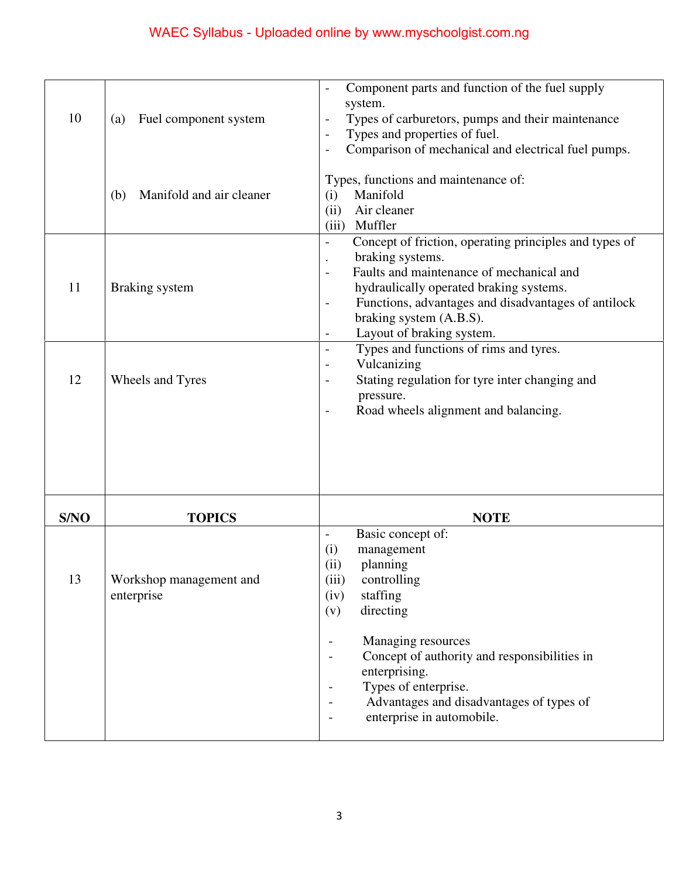| 10   | Fuel component system<br>(a)<br>Manifold and air cleaner<br>(b) | Component parts and function of the fuel supply<br>system.<br>Types of carburetors, pumps and their maintenance<br>Types and properties of fuel.<br>Comparison of mechanical and electrical fuel pumps.<br>Types, functions and maintenance of:<br>Manifold<br>(i)<br>Air cleaner<br>(ii)<br>Muffler<br>(iii)     |
|------|-----------------------------------------------------------------|-------------------------------------------------------------------------------------------------------------------------------------------------------------------------------------------------------------------------------------------------------------------------------------------------------------------|
| 11   | Braking system                                                  | Concept of friction, operating principles and types of<br>$\overline{\phantom{0}}$<br>braking systems.<br>Faults and maintenance of mechanical and<br>hydraulically operated braking systems.<br>Functions, advantages and disadvantages of antilock<br>-<br>braking system (A.B.S).<br>Layout of braking system. |
| 12   | Wheels and Tyres                                                | Types and functions of rims and tyres.<br>-<br>Vulcanizing<br>-<br>Stating regulation for tyre inter changing and<br>pressure.<br>Road wheels alignment and balancing.                                                                                                                                            |
|      |                                                                 |                                                                                                                                                                                                                                                                                                                   |
| S/NO | <b>TOPICS</b>                                                   | <b>NOTE</b>                                                                                                                                                                                                                                                                                                       |
| 13   | Workshop management and<br>enterprise                           | Basic concept of:<br>-<br>(i)<br>management<br>planning<br>(ii)<br>controlling<br>(iii)<br>staffing<br>(iv)<br>directing<br>(v)                                                                                                                                                                                   |
|      |                                                                 | Managing resources<br>Concept of authority and responsibilities in<br>enterprising.<br>Types of enterprise.                                                                                                                                                                                                       |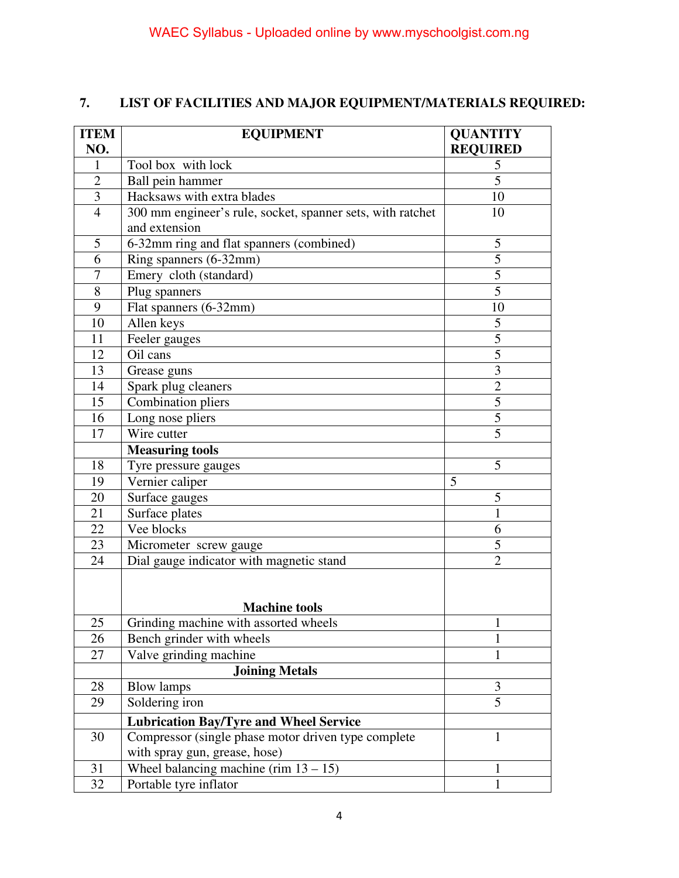## **7. LIST OF FACILITIES AND MAJOR EQUIPMENT/MATERIALS REQUIRED:**

| <b>ITEM</b>    | <b>EQUIPMENT</b>                                           | <b>QUANTITY</b>         |
|----------------|------------------------------------------------------------|-------------------------|
| NO.            |                                                            | <b>REQUIRED</b>         |
| 1              | Tool box with lock                                         | $\frac{5}{5}$           |
| $\overline{2}$ | Ball pein hammer                                           |                         |
| 3              | Hacksaws with extra blades                                 | 10                      |
| $\overline{4}$ | 300 mm engineer's rule, socket, spanner sets, with ratchet | 10                      |
|                | and extension                                              |                         |
| 5              | 6-32mm ring and flat spanners (combined)                   | 5                       |
| 6              | Ring spanners (6-32mm)                                     | 5                       |
| $\overline{7}$ | Emery cloth (standard)                                     | $\overline{5}$          |
| 8              | Plug spanners                                              | $\overline{5}$          |
| 9              | Flat spanners (6-32mm)                                     | 10                      |
| 10             | Allen keys                                                 | $\mathfrak{S}$          |
| 11             | Feeler gauges                                              | $\overline{5}$          |
| 12             | Oil cans                                                   | $\overline{5}$          |
| 13             | Grease guns                                                | $\overline{\mathbf{3}}$ |
| 14             | Spark plug cleaners                                        | $\overline{2}$          |
| 15             | Combination pliers                                         | $\overline{5}$          |
| 16             | Long nose pliers                                           | $\overline{5}$          |
| 17             | Wire cutter                                                | 5                       |
|                | <b>Measuring tools</b>                                     |                         |
| 18             | Tyre pressure gauges                                       | 5                       |
| 19             | Vernier caliper                                            | 5                       |
| 20             | Surface gauges                                             | 5                       |
| 21             | Surface plates                                             | $\mathbf{1}$            |
| 22             | Vee blocks                                                 | 6                       |
| 23             | Micrometer screw gauge                                     | 5                       |
| 24             | Dial gauge indicator with magnetic stand                   | $\overline{2}$          |
|                |                                                            |                         |
|                |                                                            |                         |
|                | <b>Machine tools</b>                                       |                         |
| 25             | Grinding machine with assorted wheels                      | 1                       |
| 26             | Bench grinder with wheels                                  | $\mathbf{1}$            |
| 27             | Valve grinding machine                                     | $\mathbf{1}$            |
|                | <b>Joining Metals</b>                                      |                         |
| 28             | <b>Blow lamps</b>                                          | 3                       |
| 29             | Soldering iron                                             | $\overline{5}$          |
|                | <b>Lubrication Bay/Tyre and Wheel Service</b>              |                         |
| 30             | Compressor (single phase motor driven type complete        | 1                       |
|                | with spray gun, grease, hose)                              |                         |
| 31             | Wheel balancing machine (rim $13 - 15$ )                   | 1                       |
| 32             | Portable tyre inflator                                     | 1                       |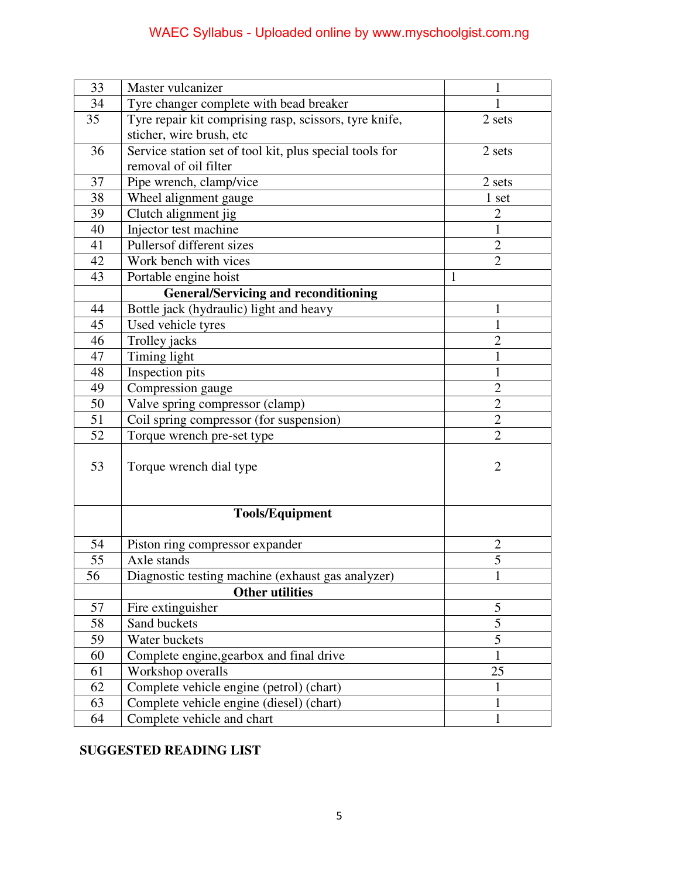## WAEC Syllabus - Uploaded online by www.myschoolgist.com.ng

| 33              | Master vulcanizer                                       | 1              |
|-----------------|---------------------------------------------------------|----------------|
| 34              | Tyre changer complete with bead breaker                 |                |
| 35              | Tyre repair kit comprising rasp, scissors, tyre knife,  | 2 sets         |
|                 | sticher, wire brush, etc                                |                |
| 36              | Service station set of tool kit, plus special tools for | 2 sets         |
|                 | removal of oil filter                                   |                |
| 37              | Pipe wrench, clamp/vice                                 | 2 sets         |
| 38              | Wheel alignment gauge                                   | $1$ set        |
| 39              | Clutch alignment jig                                    | $\overline{2}$ |
| 40              | Injector test machine                                   | 1              |
| 41              | Pullersof different sizes                               | $\overline{2}$ |
| 42              | Work bench with vices                                   | $\overline{2}$ |
| 43              | Portable engine hoist                                   | $\mathbf{1}$   |
|                 | <b>General/Servicing and reconditioning</b>             |                |
| 44              | Bottle jack (hydraulic) light and heavy                 | 1              |
| 45              | Used vehicle tyres                                      | 1              |
| 46              | Trolley jacks                                           | $\overline{2}$ |
| 47              | Timing light                                            | 1              |
| 48              | Inspection pits                                         | 1              |
| 49              | Compression gauge                                       | $\overline{2}$ |
| 50              | Valve spring compressor (clamp)                         | $\overline{2}$ |
| 51              | Coil spring compressor (for suspension)                 | $\overline{2}$ |
| 52              | Torque wrench pre-set type                              | $\overline{2}$ |
| 53              | Torque wrench dial type                                 | $\overline{2}$ |
|                 | <b>Tools/Equipment</b>                                  |                |
| 54              | Piston ring compressor expander                         | $\overline{2}$ |
| 55              | Axle stands                                             | $\overline{5}$ |
| $\overline{56}$ | Diagnostic testing machine (exhaust gas analyzer)       | $\mathbf{1}$   |
|                 | <b>Other utilities</b>                                  |                |
| 57              | Fire extinguisher                                       | 5              |
| 58              | Sand buckets                                            | $\overline{5}$ |
| 59              | Water buckets                                           | $\overline{5}$ |
| 60              | Complete engine, gearbox and final drive                | 1              |
| 61              | Workshop overalls                                       | 25             |
| 62              | Complete vehicle engine (petrol) (chart)                | 1              |
| 63              | Complete vehicle engine (diesel) (chart)                | $\mathbf{1}$   |
| 64              | Complete vehicle and chart                              | 1              |

## **SUGGESTED READING LIST**